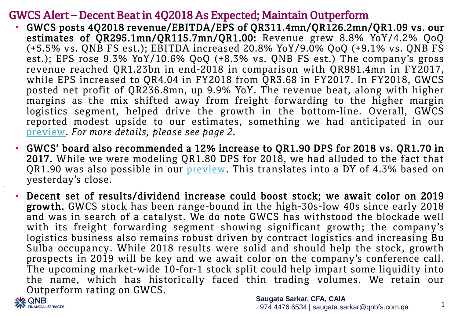## GWCS Alert – Decent Beat in 4Q2018 As Expected; Maintain Outperform

- GWCS posts 4Q2018 revenue/EBITDA/EPS of QR311.4mn/QR126.2mn/QR1.09 vs. our estimates of QR295.1mn/QR115.7mn/QR1.00: Revenue grew 8.8% YoY/4.2% QoQ (+5.5% vs. QNB FS est.); EBITDA increased 20.8% YoY/9.0% QoQ (+9.1% vs. QNB FS est.); EPS rose 9.3% YoY/10.6% QoQ (+8.3% vs. QNB FS est.) The company's gross revenue reached QR1.23bn in end-2018 in comparison with QR981.4mn in FY2017, while EPS increased to QR4.04 in FY2018 from QR3.68 in FY2017. In FY2018, GWCS posted net profit of QR236.8mn, up 9.9% YoY. The revenue beat, along with higher margins as the mix shifted away from freight forwarding to the higher margin logistics segment, helped drive the growth in the bottom-line. Overall, GWCS reported modest upside to our estimates, something we had anticipated in our [preview.](http://www.qnbfs.com/cs/Satellite/QNBFS/en_QA/enTransportationGWCS) *For more details, please see page 2.*
- GWCS' board also recommended a 12% increase to QR1.90 DPS for 2018 vs. QR1.70 in 2017. While we were modeling QR1.80 DPS for 2018, we had alluded to the fact that QR1.90 was also possible in our [preview.](http://www.qnbfs.com/cs/Satellite/QNBFS/en_QA/enTransportationGWCS) This translates into a DY of 4.3% based on yesterday's close.
- Decent set of results/dividend increase could boost stock; we await color on 2019 growth. GWCS stock has been range-bound in the high-30s-low 40s since early 2018 and was in search of a catalyst. We do note GWCS has withstood the blockade well with its freight forwarding segment showing significant growth; the company's logistics business also remains robust driven by contract logistics and increasing Bu Sulba occupancy. While 2018 results were solid and should help the stock, growth prospects in 2019 will be key and we await color on the company's conference call. The upcoming market-wide 10-for-1 stock split could help impart some liquidity into the name, which has historically faced thin trading volumes. We retain our Outperform rating on GWCS.



1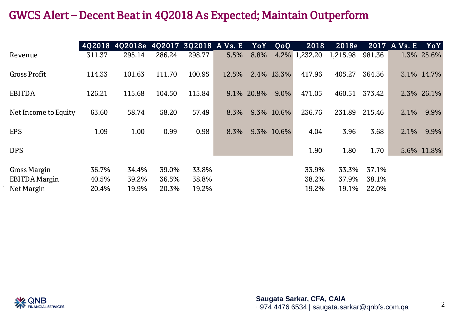## GWCS Alert – Decent Beat in 4Q2018 As Expected; Maintain Outperform

|                      | 402018 | 4Q2018e 4Q2017 3Q2018 A Vs. E |        |        |       | YoY        | QoQ        | 2018          | 2018e    |        | 2017 A Vs. E | YoY        |
|----------------------|--------|-------------------------------|--------|--------|-------|------------|------------|---------------|----------|--------|--------------|------------|
| Revenue              | 311.37 | 295.14                        | 286.24 | 298.77 | 5.5%  | 8.8%       |            | 4.2% 1,232.20 | 1,215.98 | 981.36 |              | 1.3% 25.6% |
| <b>Gross Profit</b>  | 114.33 | 101.63                        | 111.70 | 100.95 | 12.5% |            | 2.4% 13.3% | 417.96        | 405.27   | 364.36 |              | 3.1% 14.7% |
| <b>EBITDA</b>        | 126.21 | 115.68                        | 104.50 | 115.84 |       | 9.1% 20.8% | 9.0%       | 471.05        | 460.51   | 373.42 |              | 2.3% 26.1% |
| Net Income to Equity | 63.60  | 58.74                         | 58.20  | 57.49  | 8.3%  |            | 9.3% 10.6% | 236.76        | 231.89   | 215.46 | 2.1%         | 9.9%       |
| <b>EPS</b>           | 1.09   | 1.00                          | 0.99   | 0.98   | 8.3%  |            | 9.3% 10.6% | 4.04          | 3.96     | 3.68   | 2.1%         | 9.9%       |
| <b>DPS</b>           |        |                               |        |        |       |            |            | 1.90          | 1.80     | 1.70   |              | 5.6% 11.8% |
| <b>Gross Margin</b>  | 36.7%  | 34.4%                         | 39.0%  | 33.8%  |       |            |            | 33.9%         | 33.3%    | 37.1%  |              |            |
| <b>EBITDA Margin</b> | 40.5%  | 39.2%                         | 36.5%  | 38.8%  |       |            |            | 38.2%         | 37.9%    | 38.1%  |              |            |
| Net Margin           | 20.4%  | 19.9%                         | 20.3%  | 19.2%  |       |            |            | 19.2%         | 19.1%    | 22.0%  |              |            |